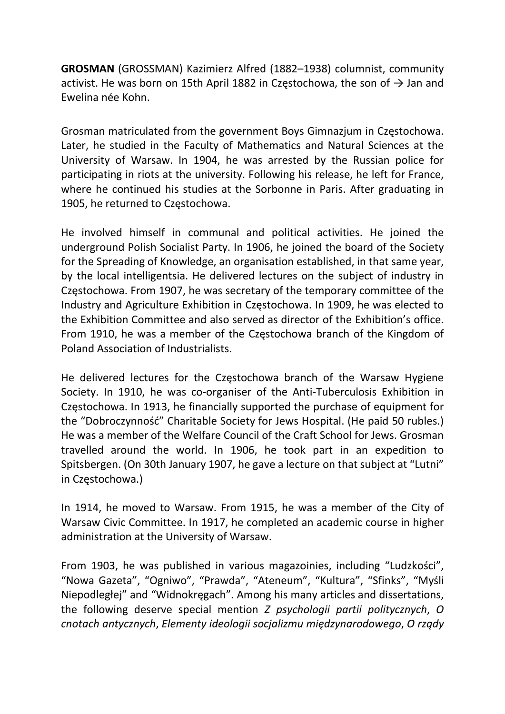GROSMAN (GROSSMAN) Kazimierz Alfred (1882–1938) columnist, community activist. He was born on 15th April 1882 in Częstochowa, the son of  $\rightarrow$  Jan and Ewelina née Kohn.

Grosman matriculated from the government Boys Gimnazjum in Częstochowa. Later, he studied in the Faculty of Mathematics and Natural Sciences at the University of Warsaw. In 1904, he was arrested by the Russian police for participating in riots at the university. Following his release, he left for France, where he continued his studies at the Sorbonne in Paris. After graduating in 1905, he returned to Częstochowa.

He involved himself in communal and political activities. He joined the underground Polish Socialist Party. In 1906, he joined the board of the Society for the Spreading of Knowledge, an organisation established, in that same year, by the local intelligentsia. He delivered lectures on the subject of industry in Częstochowa. From 1907, he was secretary of the temporary committee of the Industry and Agriculture Exhibition in Częstochowa. In 1909, he was elected to the Exhibition Committee and also served as director of the Exhibition's office. From 1910, he was a member of the Częstochowa branch of the Kingdom of Poland Association of Industrialists.

He delivered lectures for the Częstochowa branch of the Warsaw Hygiene Society. In 1910, he was co-organiser of the Anti-Tuberculosis Exhibition in Częstochowa. In 1913, he financially supported the purchase of equipment for the "Dobroczynność" Charitable Society for Jews Hospital. (He paid 50 rubles.) He was a member of the Welfare Council of the Craft School for Jews. Grosman travelled around the world. In 1906, he took part in an expedition to Spitsbergen. (On 30th January 1907, he gave a lecture on that subject at "Lutni" in Częstochowa.)

In 1914, he moved to Warsaw. From 1915, he was a member of the City of Warsaw Civic Committee. In 1917, he completed an academic course in higher administration at the University of Warsaw.

From 1903, he was published in various magazoinies, including "Ludzkości", "Nowa Gazeta", "Ogniwo", "Prawda", "Ateneum", "Kultura", "Sfinks", "Myśli Niepodległej" and "Widnokręgach". Among his many articles and dissertations, the following deserve special mention Z psychologii partii politycznych, O cnotach antycznych, Elementy ideologii socjalizmu międzynarodowego, O rządy